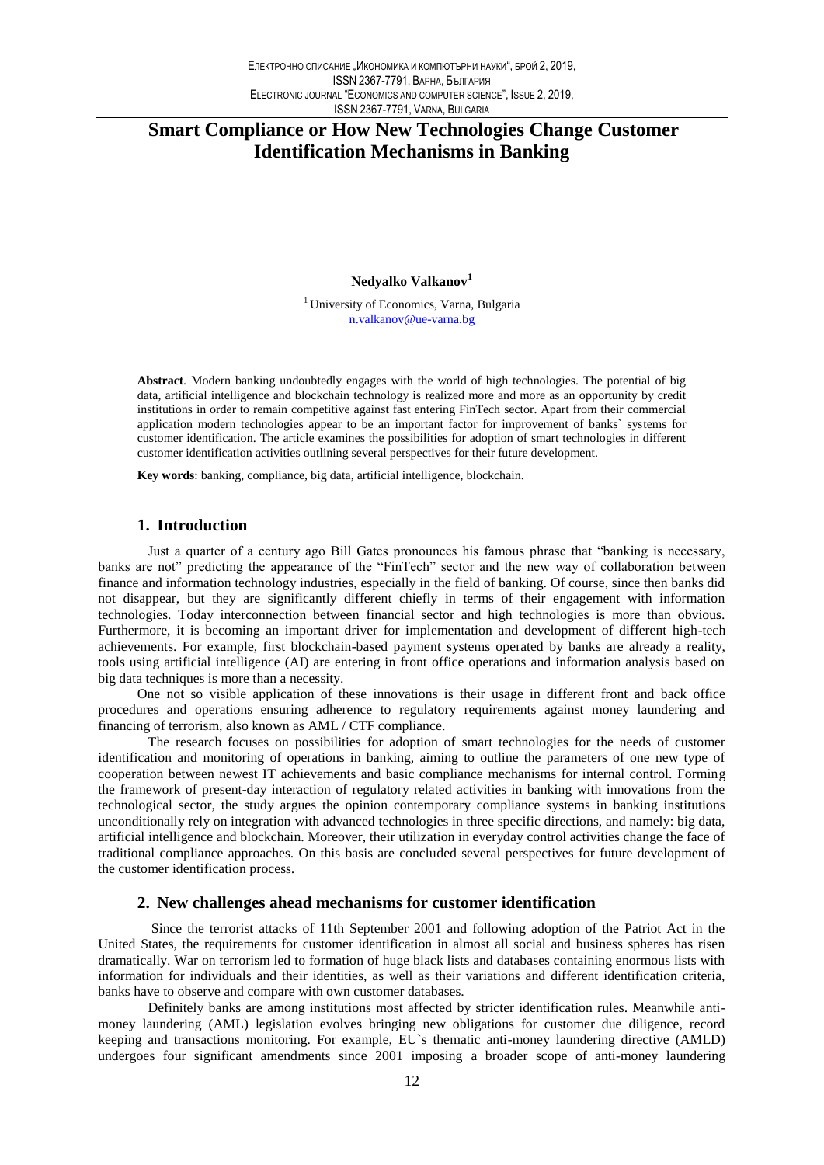# **Smart Compliance or How New Technologies Change Customer Identification Mechanisms in Banking**

Nedyalko Valkanov<sup>1</sup>

<sup>1</sup> University of Economics, Varna, Bulgaria n.valkanov@ue-varna.bg

Abstract. Modern banking undoubtedly engages with the world of high technologies. The potential of big data, artificial intelligence and blockchain technology is realized more and more as an opportunity by credit institutions in order to remain competitive against fast entering FinTech sector. Apart from their commercial application modern technologies appear to be an important factor for improvement of banks' systems for customer identification. The article examines the possibilities for adoption of smart technologies in different customer identification activities outlining several perspectives for their future development.

Key words: banking, compliance, big data, artificial intelligence, blockchain.

### 1. Introduction

Just a quarter of a century ago Bill Gates pronounces his famous phrase that "banking is necessary, banks are not" predicting the appearance of the "FinTech" sector and the new way of collaboration between finance and information technology industries, especially in the field of banking. Of course, since then banks did not disappear, but they are significantly different chiefly in terms of their engagement with information technologies. Today interconnection between financial sector and high technologies is more than obvious. Furthermore, it is becoming an important driver for implementation and development of different high-tech achievements. For example, first blockchain-based payment systems operated by banks are already a reality, tools using artificial intelligence (AI) are entering in front office operations and information analysis based on big data techniques is more than a necessity.

One not so visible application of these innovations is their usage in different front and back office procedures and operations ensuring adherence to regulatory requirements against money laundering and financing of terrorism, also known as AML / CTF compliance.

The research focuses on possibilities for adoption of smart technologies for the needs of customer identification and monitoring of operations in banking, aiming to outline the parameters of one new type of cooperation between newest IT achievements and basic compliance mechanisms for internal control. Forming the framework of present-day interaction of regulatory related activities in banking with innovations from the technological sector, the study argues the opinion contemporary compliance systems in banking institutions unconditionally rely on integration with advanced technologies in three specific directions, and namely: big data, artificial intelligence and blockchain. Moreover, their utilization in everyday control activities change the face of traditional compliance approaches. On this basis are concluded several perspectives for future development of the customer identification process.

#### 2. New challenges ahead mechanisms for customer identification

Since the terrorist attacks of 11th September 2001 and following adoption of the Patriot Act in the United States, the requirements for customer identification in almost all social and business spheres has risen dramatically. War on terrorism led to formation of huge black lists and databases containing enormous lists with information for individuals and their identities, as well as their variations and different identification criteria, banks have to observe and compare with own customer databases.

Definitely banks are among institutions most affected by stricter identification rules. Meanwhile antimoney laundering (AML) legislation evolves bringing new obligations for customer due diligence, record keeping and transactions monitoring. For example, EU's thematic anti-money laundering directive (AMLD) undergoes four significant amendments since 2001 imposing a broader scope of anti-money laundering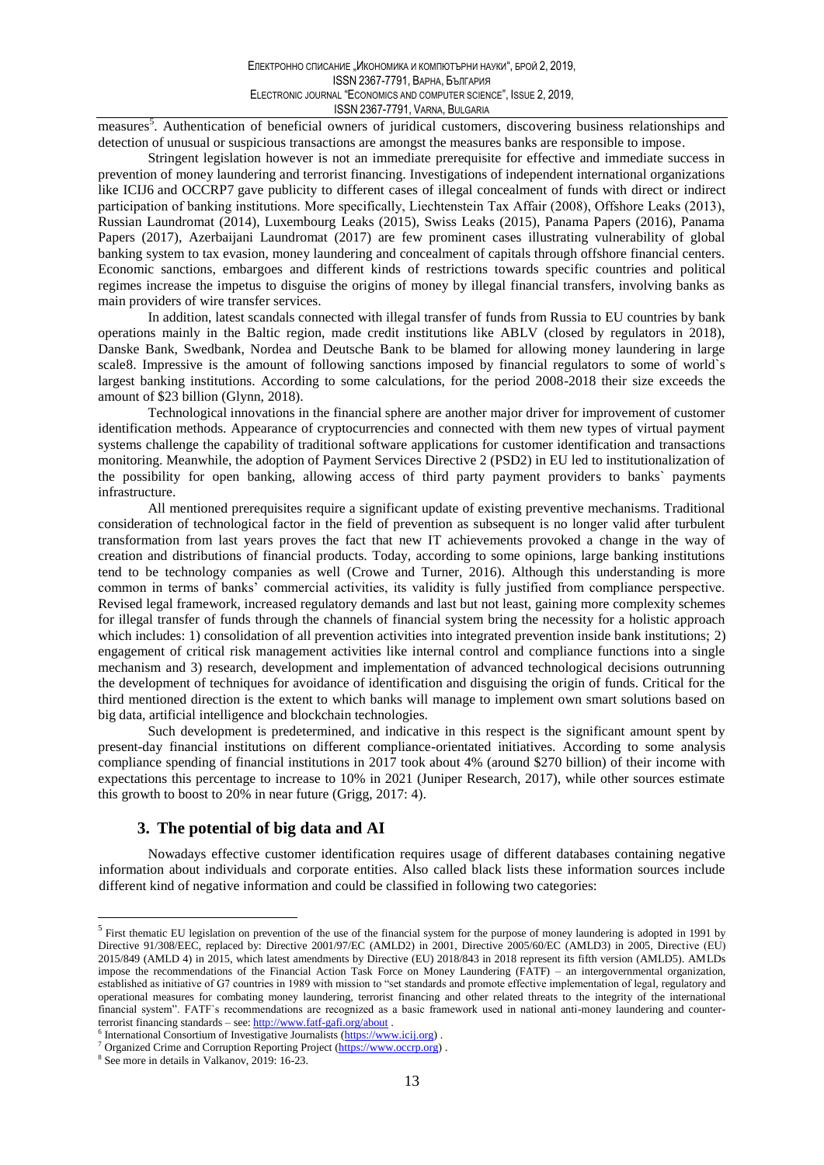measures<sup>5</sup>. Authentication of beneficial owners of juridical customers, discovering business relationships and detection of unusual or suspicious transactions are amongst the measures banks are responsible to impose.

Stringent legislation however is not an immediate prerequisite for effective and immediate success in prevention of money laundering and terrorist financing. Investigations of independent international organizations like ICIJ6 and OCCRP7 gave publicity to different cases of illegal concealment of funds with direct or indirect participation of banking institutions. More specifically, Liechtenstein Tax Affair (2008), Offshore Leaks (2013), Russian Laundromat (2014), Luxembourg Leaks (2015), Swiss Leaks (2015), Panama Papers (2016), Panama Papers (2017), Azerbaijani Laundromat (2017) are few prominent cases illustrating vulnerability of global banking system to tax evasion, money laundering and concealment of capitals through offshore financial centers. Economic sanctions, embargoes and different kinds of restrictions towards specific countries and political regimes increase the impetus to disguise the origins of money by illegal financial transfers, involving banks as main providers of wire transfer services.

In addition, latest scandals connected with illegal transfer of funds from Russia to EU countries by bank operations mainly in the Baltic region, made credit institutions like ABLV (closed by regulators in 2018), Danske Bank, Swedbank, Nordea and Deutsche Bank to be blamed for allowing money laundering in large scale 8. Impressive is the amount of following sanctions imposed by financial regulators to some of world's largest banking institutions. According to some calculations, for the period 2008-2018 their size exceeds the amount of \$23 billion (Glynn, 2018).

Technological innovations in the financial sphere are another major driver for improvement of customer identification methods. Appearance of cryptocurrencies and connected with them new types of virtual payment systems challenge the capability of traditional software applications for customer identification and transactions monitoring. Meanwhile, the adoption of Payment Services Directive 2 (PSD2) in EU led to institutionalization of the possibility for open banking, allowing access of third party payment providers to banks' payments infrastructure.

All mentioned prerequisites require a significant update of existing preventive mechanisms. Traditional consideration of technological factor in the field of prevention as subsequent is no longer valid after turbulent transformation from last vears proves the fact that new IT achievements provoked a change in the way of creation and distributions of financial products. Today, according to some opinions, large banking institutions tend to be technology companies as well (Crowe and Turner, 2016). Although this understanding is more common in terms of banks' commercial activities, its validity is fully justified from compliance perspective. Revised legal framework, increased regulatory demands and last but not least, gaining more complexity schemes for illegal transfer of funds through the channels of financial system bring the necessity for a holistic approach which includes: 1) consolidation of all prevention activities into integrated prevention inside bank institutions; 2) engagement of critical risk management activities like internal control and compliance functions into a single mechanism and 3) research, development and implementation of advanced technological decisions outrunning the development of techniques for avoidance of identification and disguising the origin of funds. Critical for the third mentioned direction is the extent to which banks will manage to implement own smart solutions based on big data, artificial intelligence and blockchain technologies.

Such development is predetermined, and indicative in this respect is the significant amount spent by present-day financial institutions on different compliance-orientated initiatives. According to some analysis compliance spending of financial institutions in 2017 took about 4% (around \$270 billion) of their income with expectations this percentage to increase to 10% in 2021 (Juniper Research, 2017), while other sources estimate this growth to boost to 20% in near future (Grigg, 2017: 4).

# 3. The potential of big data and AI

Nowadays effective customer identification requires usage of different databases containing negative information about individuals and corporate entities. Also called black lists these information sources include different kind of negative information and could be classified in following two categories:

<sup>&</sup>lt;sup>5</sup> First thematic EU legislation on prevention of the use of the financial system for the purpose of money laundering is adopted in 1991 by Directive 91/308/EEC, replaced by: Directive 2001/97/EC (AMLD2) in 2001, Directive 2005/60/EC (AMLD3) in 2005, Directive (EU) 2015/849 (AMLD 4) in 2015, which latest amendments by Directive (EU) 2018/843 in 2018 represent its fifth version (AMLD5). AMLDs impose the recommendations of the Financial Action Task Force on Money Laundering (FATF) - an intergovernmental organization, established as initiative of G7 countries in 1989 with mission to "set standards and promote effective implementation of legal, regulatory and operational measures for combating money laundering, terrorist financing and other related threats to the integrity of the international financial system". FATF's recommendations are recognized as a basic framework used in national anti-money laundering and counterterrorist financing standards – see:  $\frac{http://www.faff-gafi.org/about)}{http://www.faff-gafi.org/about)}$ .

 $\frac{6}{1}$  International Consortium of Investigative Journalists (https://www.icij.org).

Organized Crime and Corruption Reporting Project (https://www.occrp.org).

<sup>&</sup>lt;sup>8</sup> See more in details in Valkanov, 2019: 16-23.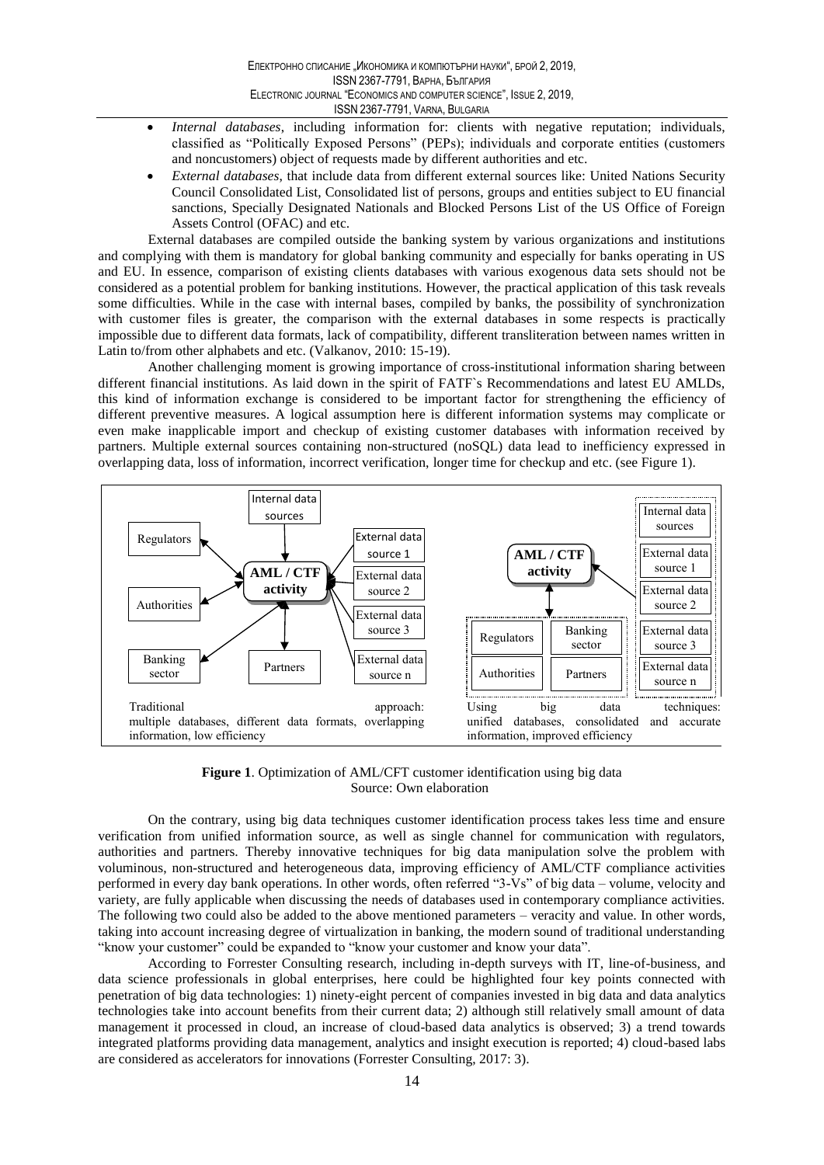- Internal databases, including information for: clients with negative reputation; individuals,  $\bullet$ classified as "Politically Exposed Persons" (PEPs); individuals and corporate entities (customers and noncustomers) object of requests made by different authorities and etc.
- External databases, that include data from different external sources like: United Nations Security Council Consolidated List, Consolidated list of persons, groups and entities subject to EU financial sanctions, Specially Designated Nationals and Blocked Persons List of the US Office of Foreign Assets Control (OFAC) and etc.

External databases are compiled outside the banking system by various organizations and institutions and complying with them is mandatory for global banking community and especially for banks operating in US and EU. In essence, comparison of existing clients databases with various exogenous data sets should not be considered as a potential problem for banking institutions. However, the practical application of this task reveals some difficulties. While in the case with internal bases, compiled by banks, the possibility of synchronization with customer files is greater, the comparison with the external databases in some respects is practically impossible due to different data formats, lack of compatibility, different transliteration between names written in Latin to/from other alphabets and etc. (Valkanov, 2010: 15-19).

Another challenging moment is growing importance of cross-institutional information sharing between different financial institutions. As laid down in the spirit of FATF's Recommendations and latest EU AMLDs, this kind of information exchange is considered to be important factor for strengthening the efficiency of different preventive measures. A logical assumption here is different information systems may complicate or even make inapplicable import and checkup of existing customer databases with information received by partners. Multiple external sources containing non-structured (noSQL) data lead to inefficiency expressed in overlapping data, loss of information, incorrect verification, longer time for checkup and etc. (see Figure 1).



Figure 1. Optimization of AML/CFT customer identification using big data Source: Own elaboration

On the contrary, using big data techniques customer identification process takes less time and ensure verification from unified information source, as well as single channel for communication with regulators, authorities and partners. Thereby innovative techniques for big data manipulation solve the problem with voluminous, non-structured and heterogeneous data, improving efficiency of AML/CTF compliance activities performed in every day bank operations. In other words, often referred "3-Vs" of big data – volume, velocity and variety, are fully applicable when discussing the needs of databases used in contemporary compliance activities. The following two could also be added to the above mentioned parameters - veracity and value. In other words, taking into account increasing degree of virtualization in banking, the modern sound of traditional understanding "know your customer" could be expanded to "know your customer and know your data".

According to Forrester Consulting research, including in-depth surveys with IT, line-of-business, and data science professionals in global enterprises, here could be highlighted four key points connected with penetration of big data technologies: 1) ninety-eight percent of companies invested in big data and data analytics technologies take into account benefits from their current data; 2) although still relatively small amount of data management it processed in cloud, an increase of cloud-based data analytics is observed; 3) a trend towards integrated platforms providing data management, analytics and insight execution is reported; 4) cloud-based labs are considered as accelerators for innovations (Forrester Consulting, 2017: 3).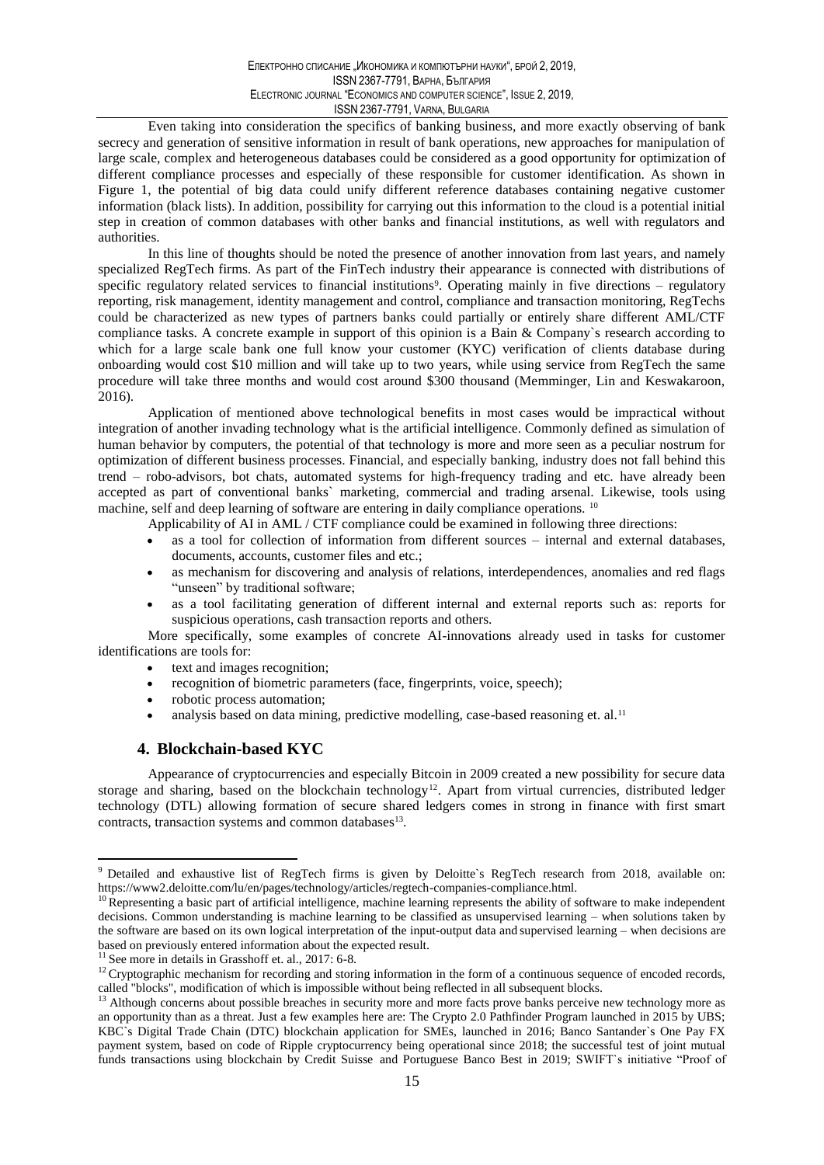Even taking into consideration the specifics of banking business, and more exactly observing of bank secrecy and generation of sensitive information in result of bank operations, new approaches for manipulation of large scale, complex and heterogeneous databases could be considered as a good opportunity for optimization of different compliance processes and especially of these responsible for customer identification. As shown in Figure 1, the potential of big data could unify different reference databases containing negative customer information (black lists). In addition, possibility for carrying out this information to the cloud is a potential initial step in creation of common databases with other banks and financial institutions, as well with regulators and authorities.

In this line of thoughts should be noted the presence of another innovation from last years, and namely specialized RegTech firms. As part of the FinTech industry their appearance is connected with distributions of specific regulatory related services to financial institutions<sup>9</sup>. Operating mainly in five directions – regulatory reporting, risk management, identity management and control, compliance and transaction monitoring, RegTechs could be characterized as new types of partners banks could partially or entirely share different AML/CTF compliance tasks. A concrete example in support of this opinion is a Bain & Company's research according to which for a large scale bank one full know your customer (KYC) verification of clients database during onboarding would cost \$10 million and will take up to two years, while using service from RegTech the same procedure will take three months and would cost around \$300 thousand (Memminger, Lin and Keswakaroon, 2016).

Application of mentioned above technological benefits in most cases would be impractical without integration of another invading technology what is the artificial intelligence. Commonly defined as simulation of human behavior by computers, the potential of that technology is more and more seen as a peculiar nostrum for optimization of different business processes. Financial, and especially banking, industry does not fall behind this trend - robo-advisors, bot chats, automated systems for high-frequency trading and etc. have already been accepted as part of conventional banks' marketing, commercial and trading arsenal. Likewise, tools using machine, self and deep learning of software are entering in daily compliance operations. <sup>10</sup>

Applicability of AI in AML / CTF compliance could be examined in following three directions:

- as a tool for collection of information from different sources internal and external databases, documents, accounts, customer files and etc.;
- as mechanism for discovering and analysis of relations, interdependences, anomalies and red flags "unseen" by traditional software;
- as a tool facilitating generation of different internal and external reports such as: reports for suspicious operations, cash transaction reports and others.

More specifically, some examples of concrete AI-innovations already used in tasks for customer identifications are tools for:

- text and images recognition;
- recognition of biometric parameters (face, fingerprints, voice, speech);
- robotic process automation;
- analysis based on data mining, predictive modelling, case-based reasoning et. al.<sup>11</sup>

#### 4. Blockchain-based KYC

Appearance of cryptocurrencies and especially Bitcoin in 2009 created a new possibility for secure data storage and sharing, based on the blockchain technology<sup>12</sup>. Apart from virtual currencies, distributed ledger technology (DTL) allowing formation of secure shared ledgers comes in strong in finance with first smart contracts, transaction systems and common databases<sup>13</sup>.

<sup>&</sup>lt;sup>9</sup> Detailed and exhaustive list of RegTech firms is given by Deloitte's RegTech research from 2018, available on: https://www2.deloitte.com/lu/en/pages/technology/articles/regtech-companies-compliance.html.

<sup>&</sup>lt;sup>10</sup> Representing a basic part of artificial intelligence, machine learning represents the ability of software to make independent decisions. Common understanding is machine learning to be classified as unsupervised learning – when solutions taken by the software are based on its own logical interpretation of the input-output data and supervised learning – when decisions are based on previously entered information about the expected result.

 $11$  See more in details in Grasshoff et. al., 2017: 6-8.

<sup>&</sup>lt;sup>12</sup> Cryptographic mechanism for recording and storing information in the form of a continuous sequence of encoded records, called "blocks", modification of which is impossible without being reflected in all subsequent blocks.<br><sup>13</sup> Although concerns about possible breaches in security more and more facts prove banks perceive new technology more

an opportunity than as a threat. Just a few examples here are: The Crypto 2.0 Pathfinder Program launched in 2015 by UBS; KBC's Digital Trade Chain (DTC) blockchain application for SMEs, launched in 2016; Banco Santander's One Pay FX payment system, based on code of Ripple cryptocurrency being operational since 2018; the successful test of joint mutual funds transactions using blockchain by Credit Suisse and Portuguese Banco Best in 2019; SWIFT's initiative "Proof of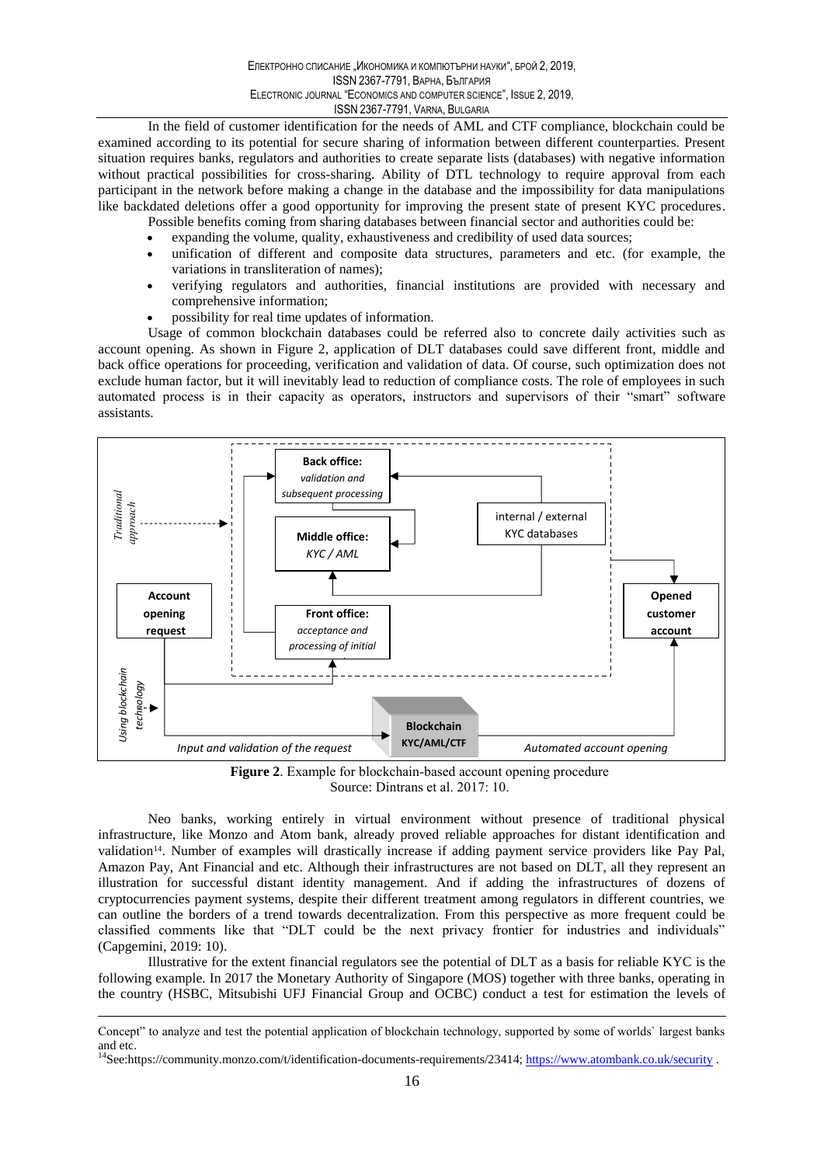In the field of customer identification for the needs of AML and CTF compliance, blockchain could be examined according to its potential for secure sharing of information between different counterparties. Present situation requires banks, regulators and authorities to create separate lists (databases) with negative information without practical possibilities for cross-sharing. Ability of DTL technology to require approval from each participant in the network before making a change in the database and the impossibility for data manipulations like backdated deletions offer a good opportunity for improving the present state of present KYC procedures. Possible benefits coming from sharing databases between financial sector and authorities could be:

- expanding the volume, quality, exhaustiveness and credibility of used data sources;
- unification of different and composite data structures, parameters and etc. (for example, the variations in transliteration of names);
- verifying regulators and authorities, financial institutions are provided with necessary and comprehensive information;
- possibility for real time updates of information.

Usage of common blockchain databases could be referred also to concrete daily activities such as account opening. As shown in Figure 2, application of DLT databases could save different front, middle and back office operations for proceeding, verification and validation of data. Of course, such optimization does not exclude human factor, but it will inevitably lead to reduction of compliance costs. The role of employees in such automated process is in their capacity as operators, instructors and supervisors of their "smart" software assistants.



Figure 2. Example for blockchain-based account opening procedure Source: Dintrans et al. 2017: 10.

Neo banks, working entirely in virtual environment without presence of traditional physical infrastructure, like Monzo and Atom bank, already proved reliable approaches for distant identification and validation<sup>14</sup>. Number of examples will drastically increase if adding payment service providers like Pay Pal, Amazon Pay, Ant Financial and etc. Although their infrastructures are not based on DLT, all they represent an illustration for successful distant identity management. And if adding the infrastructures of dozens of cryptocurrencies payment systems, despite their different treatment among regulators in different countries, we can outline the borders of a trend towards decentralization. From this perspective as more frequent could be classified comments like that "DLT could be the next privacy frontier for industries and individuals" (Capgemini, 2019: 10).

Illustrative for the extent financial regulators see the potential of DLT as a basis for reliable KYC is the following example. In 2017 the Monetary Authority of Singapore (MOS) together with three banks, operating in the country (HSBC, Mitsubishi UFJ Financial Group and OCBC) conduct a test for estimation the levels of

Concept" to analyze and test the potential application of blockchain technology, supported by some of worlds' largest banks and etc.

<sup>&</sup>lt;sup>14</sup>See:https://community.monzo.com/t/identification-documents-requirements/23414; https://www.atombank.co.uk/security.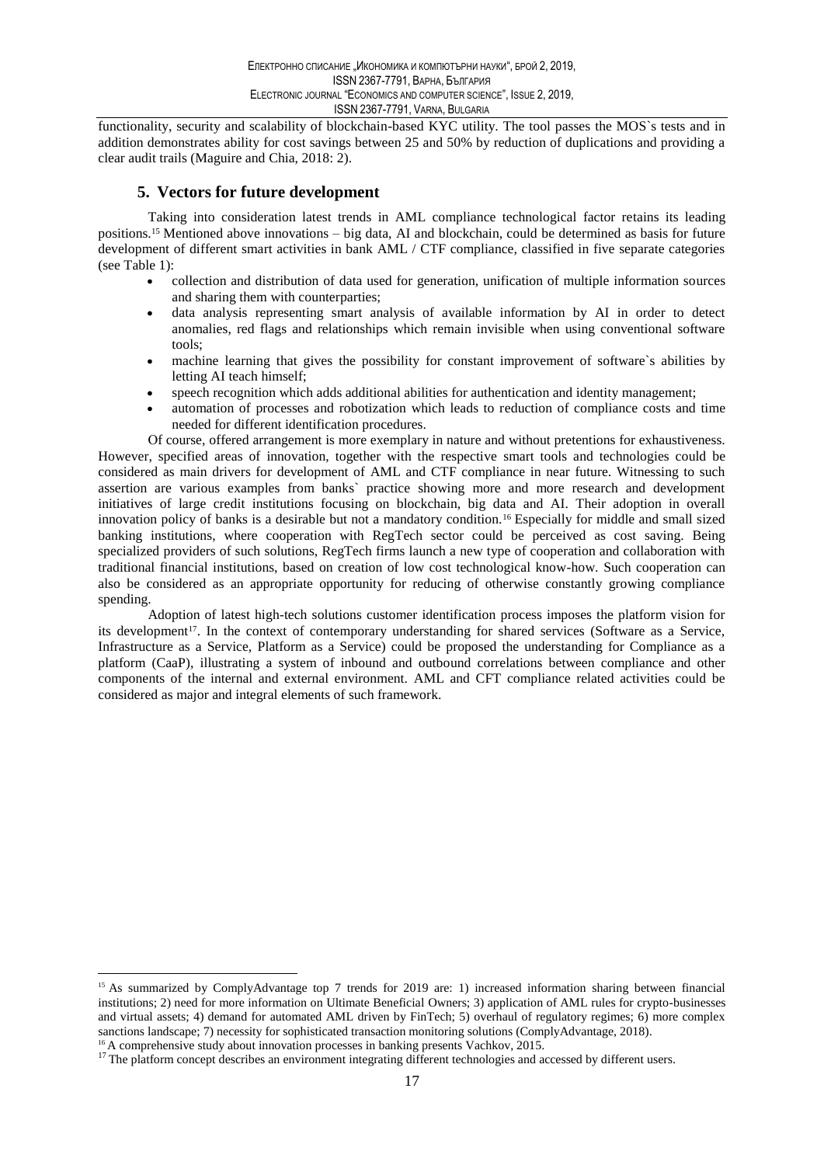functionality, security and scalability of blockchain-based KYC utility. The tool passes the MOS's tests and in addition demonstrates ability for cost savings between 25 and 50% by reduction of duplications and providing a clear audit trails (Maguire and Chia, 2018: 2).

## 5. Vectors for future development

Taking into consideration latest trends in AML compliance technological factor retains its leading positions.<sup>15</sup> Mentioned above innovations – big data, AI and blockchain, could be determined as basis for future development of different smart activities in bank AML / CTF compliance, classified in five separate categories (see Table 1):

- collection and distribution of data used for generation, unification of multiple information sources and sharing them with counterparties;
- data analysis representing smart analysis of available information by AI in order to detect  $\bullet$ anomalies, red flags and relationships which remain invisible when using conventional software tools:
- machine learning that gives the possibility for constant improvement of software's abilities by letting AI teach himself;
- speech recognition which adds additional abilities for authentication and identity management:
- automation of processes and robotization which leads to reduction of compliance costs and time needed for different identification procedures.

Of course, offered arrangement is more exemplary in nature and without pretentions for exhaustiveness. However, specified areas of innovation, together with the respective smart tools and technologies could be considered as main drivers for development of AML and CTF compliance in near future. Witnessing to such assertion are various examples from banks' practice showing more and more research and development initiatives of large credit institutions focusing on blockchain, big data and AI. Their adoption in overall innovation policy of banks is a desirable but not a mandatory condition.<sup>16</sup> Especially for middle and small sized banking institutions, where cooperation with RegTech sector could be perceived as cost saving. Being specialized providers of such solutions, RegTech firms launch a new type of cooperation and collaboration with traditional financial institutions, based on creation of low cost technological know-how. Such cooperation can also be considered as an appropriate opportunity for reducing of otherwise constantly growing compliance spending.

Adoption of latest high-tech solutions customer identification process imposes the platform vision for its development<sup>17</sup>. In the context of contemporary understanding for shared services (Software as a Service, Infrastructure as a Service, Platform as a Service) could be proposed the understanding for Compliance as a platform (CaaP), illustrating a system of inbound and outbound correlations between compliance and other components of the internal and external environment. AML and CFT compliance related activities could be considered as major and integral elements of such framework.

<sup>&</sup>lt;sup>15</sup> As summarized by ComplyAdvantage top 7 trends for 2019 are: 1) increased information sharing between financial institutions; 2) need for more information on Ultimate Beneficial Owners; 3) application of AML rules for crypto-businesses and virtual assets; 4) demand for automated AML driven by FinTech; 5) overhaul of regulatory regimes; 6) more complex sanctions landscape; 7) necessity for sophisticated transaction monitoring solutions (ComplyAdvantage, 2018).

<sup>&</sup>lt;sup>16</sup> A comprehensive study about innovation processes in banking presents Vachkov, 2015.

<sup>&</sup>lt;sup>17</sup> The platform concept describes an environment integrating different technologies and accessed by different users.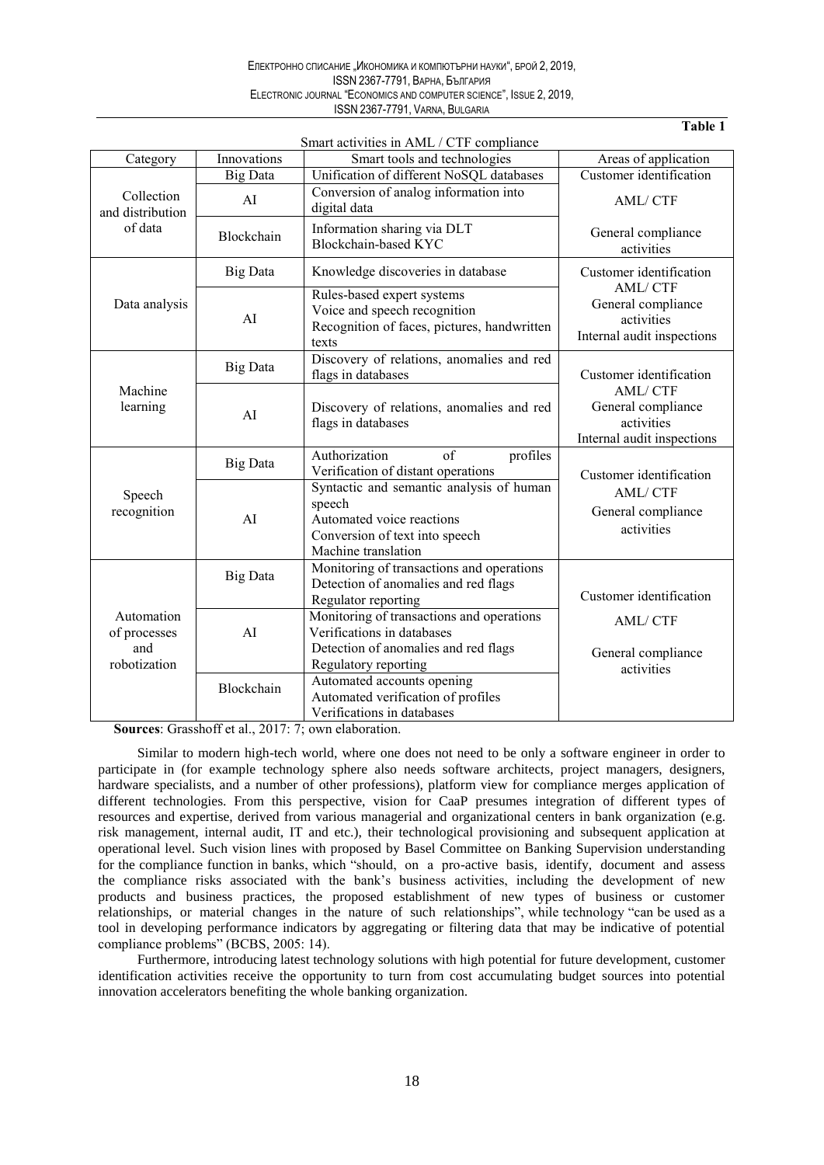#### Електронно списание "Икономика и компютърни науки", брой 2, 2019, **ISSN 2367-7791, ВАРНА, БЪЛГАРИЯ** ELECTRONIC JOURNAL "ECONOMICS AND COMPUTER SCIENCE", ISSUE 2, 2019, ISSN 2367-7791, VARNA, BULGARIA

#### Table 1

|                                                   |                 | Smart activities in AML / CTF compliance                                                                                                 |                                                                                  |
|---------------------------------------------------|-----------------|------------------------------------------------------------------------------------------------------------------------------------------|----------------------------------------------------------------------------------|
| Category                                          | Innovations     | Smart tools and technologies                                                                                                             | Areas of application                                                             |
| Collection<br>and distribution<br>of data         | <b>Big Data</b> | Unification of different NoSQL databases                                                                                                 | Customer identification                                                          |
|                                                   | AI              | Conversion of analog information into<br>digital data                                                                                    | <b>AML/CTF</b>                                                                   |
|                                                   | Blockchain      | Information sharing via DLT<br>Blockchain-based KYC                                                                                      | General compliance<br>activities                                                 |
| Data analysis                                     | <b>Big Data</b> | Knowledge discoveries in database                                                                                                        | Customer identification                                                          |
|                                                   | AI              | Rules-based expert systems<br>Voice and speech recognition<br>Recognition of faces, pictures, handwritten<br>texts                       | AML/CTF<br>General compliance<br>activities<br>Internal audit inspections        |
| Machine<br>learning                               | <b>Big Data</b> | Discovery of relations, anomalies and red<br>flags in databases                                                                          | Customer identification                                                          |
|                                                   | AI              | Discovery of relations, anomalies and red<br>flags in databases                                                                          | <b>AML/CTF</b><br>General compliance<br>activities<br>Internal audit inspections |
| Speech<br>recognition                             | Big Data        | Authorization<br>$\alpha$ f<br>profiles<br>Verification of distant operations                                                            | Customer identification<br>AML/CTF<br>General compliance<br>activities           |
|                                                   | AI              | Syntactic and semantic analysis of human<br>speech<br>Automated voice reactions<br>Conversion of text into speech<br>Machine translation |                                                                                  |
| Automation<br>of processes<br>and<br>robotization | <b>Big Data</b> | Monitoring of transactions and operations<br>Detection of anomalies and red flags<br>Regulator reporting                                 | Customer identification                                                          |
|                                                   | AI              | Monitoring of transactions and operations<br>Verifications in databases<br>Detection of anomalies and red flags<br>Regulatory reporting  | AML/CTF<br>General compliance<br>activities                                      |
|                                                   | Blockchain      | Automated accounts opening<br>Automated verification of profiles<br>Verifications in databases                                           |                                                                                  |

Sources: Grasshoff et al., 2017: 7; own elaboration.

Similar to modern high-tech world, where one does not need to be only a software engineer in order to participate in (for example technology sphere also needs software architects, project managers, designers, hardware specialists, and a number of other professions), platform view for compliance merges application of different technologies. From this perspective, vision for CaaP presumes integration of different types of resources and expertise, derived from various managerial and organizational centers in bank organization (e.g. risk management, internal audit, IT and etc.), their technological provisioning and subsequent application at operational level. Such vision lines with proposed by Basel Committee on Banking Supervision understanding for the compliance function in banks, which "should, on a pro-active basis, identify, document and assess the compliance risks associated with the bank's business activities, including the development of new products and business practices, the proposed establishment of new types of business or customer relationships, or material changes in the nature of such relationships", while technology "can be used as a tool in developing performance indicators by aggregating or filtering data that may be indicative of potential compliance problems" (BCBS, 2005: 14).

Furthermore, introducing latest technology solutions with high potential for future development, customer identification activities receive the opportunity to turn from cost accumulating budget sources into potential innovation accelerators benefiting the whole banking organization.